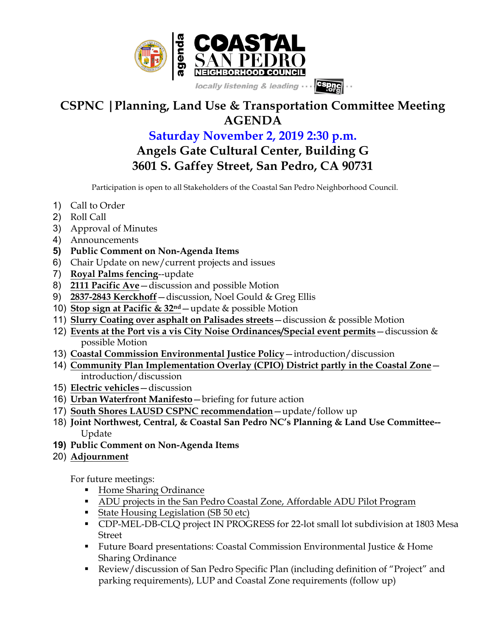

## **CSPNC |Planning, Land Use & Transportation Committee Meeting AGENDA**

## **Saturday November 2, 2019 2:30 p.m. Angels Gate Cultural Center, Building G 3601 S. Gaffey Street, San Pedro, CA 90731**

Participation is open to all Stakeholders of the Coastal San Pedro Neighborhood Council.

- 1) Call to Order
- 2) Roll Call
- 3) Approval of Minutes
- 4) Announcements
- **5) Public Comment on Non-Agenda Items**
- 6) Chair Update on new/current projects and issues
- 7) **Royal Palms fencing**--update
- 8) **2111 Pacific Ave**—discussion and possible Motion
- 9) **2837-2843 Kerckhoff**—discussion, Noel Gould & Greg Ellis
- 10) **Stop sign at Pacific & 32nd**—update & possible Motion
- 11) **Slurry Coating over asphalt on Palisades streets**—discussion & possible Motion
- 12) **Events at the Port vis a vis City Noise Ordinances/Special event permits**—discussion & possible Motion
- 13) **Coastal Commission Environmental Justice Policy**—introduction/discussion
- 14) **Community Plan Implementation Overlay (CPIO) District partly in the Coastal Zone** introduction/discussion
- 15) **Electric vehicles**—discussion
- 16) **Urban Waterfront Manifesto**—briefing for future action
- 17) **South Shores LAUSD CSPNC recommendation**—update/follow up
- 18) **Joint Northwest, Central, & Coastal San Pedro NC's Planning & Land Use Committee--** Update
- **19) Public Comment on Non-Agenda Items**
- 20) **Adjournment**

For future meetings:

- Home Sharing Ordinance
- ADU projects in the San Pedro Coastal Zone, Affordable ADU Pilot Program
- State Housing Legislation (SB 50 etc)
- § CDP-MEL-DB-CLQ project IN PROGRESS for 22-lot small lot subdivision at 1803 Mesa Street
- Future Board presentations: Coastal Commission Environmental Justice & Home Sharing Ordinance
- § Review/discussion of San Pedro Specific Plan (including definition of "Project" and parking requirements), LUP and Coastal Zone requirements (follow up)